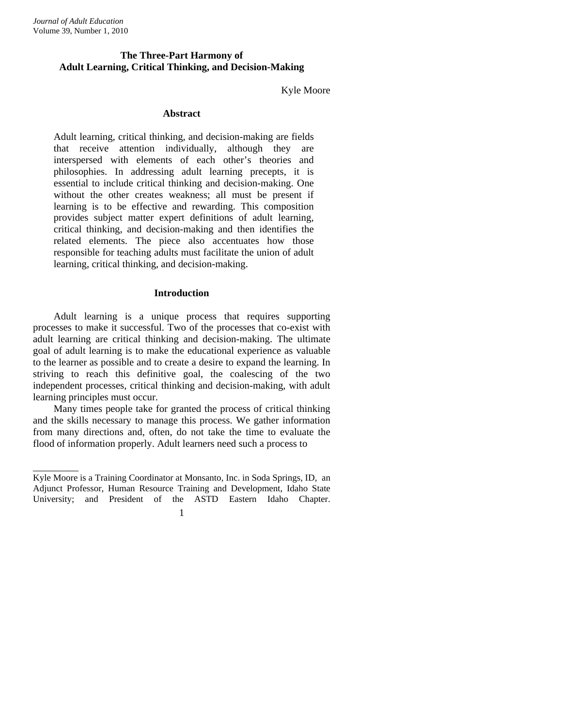\_\_\_\_\_\_\_\_\_

# **The Three-Part Harmony of Adult Learning, Critical Thinking, and Decision-Making**

## Kyle Moore

#### **Abstract**

Adult learning, critical thinking, and decision-making are fields that receive attention individually, although they are interspersed with elements of each other's theories and philosophies. In addressing adult learning precepts, it is essential to include critical thinking and decision-making. One without the other creates weakness; all must be present if learning is to be effective and rewarding. This composition provides subject matter expert definitions of adult learning, critical thinking, and decision-making and then identifies the related elements. The piece also accentuates how those responsible for teaching adults must facilitate the union of adult learning, critical thinking, and decision-making.

### **Introduction**

Adult learning is a unique process that requires supporting processes to make it successful. Two of the processes that co-exist with adult learning are critical thinking and decision-making. The ultimate goal of adult learning is to make the educational experience as valuable to the learner as possible and to create a desire to expand the learning. In striving to reach this definitive goal, the coalescing of the two independent processes, critical thinking and decision-making, with adult learning principles must occur.

Many times people take for granted the process of critical thinking and the skills necessary to manage this process. We gather information from many directions and, often, do not take the time to evaluate the flood of information properly. Adult learners need such a process to

Kyle Moore is a Training Coordinator at Monsanto, Inc. in Soda Springs, ID, an Adjunct Professor, Human Resource Training and Development, Idaho State University; and President of the ASTD Eastern Idaho Chapter.

<sup>1</sup>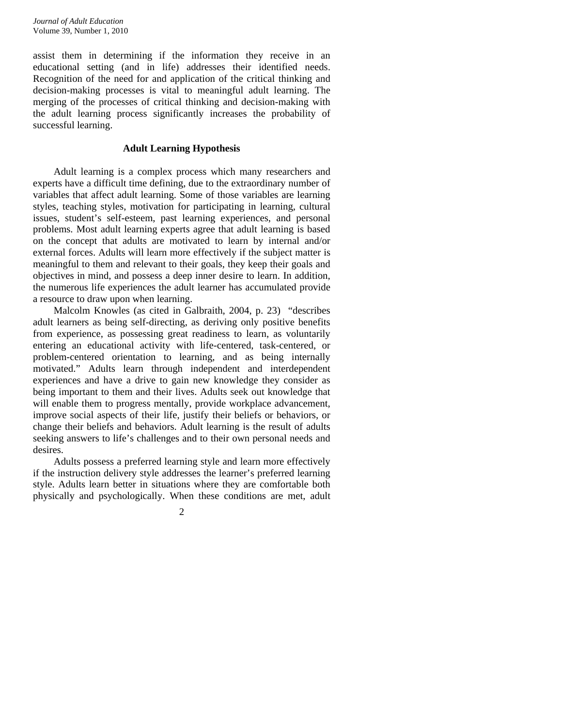assist them in determining if the information they receive in an educational setting (and in life) addresses their identified needs. Recognition of the need for and application of the critical thinking and decision-making processes is vital to meaningful adult learning. The merging of the processes of critical thinking and decision-making with the adult learning process significantly increases the probability of successful learning.

### **Adult Learning Hypothesis**

Adult learning is a complex process which many researchers and experts have a difficult time defining, due to the extraordinary number of variables that affect adult learning. Some of those variables are learning styles, teaching styles, motivation for participating in learning, cultural issues, student's self-esteem, past learning experiences, and personal problems. Most adult learning experts agree that adult learning is based on the concept that adults are motivated to learn by internal and/or external forces. Adults will learn more effectively if the subject matter is meaningful to them and relevant to their goals, they keep their goals and objectives in mind, and possess a deep inner desire to learn. In addition, the numerous life experiences the adult learner has accumulated provide a resource to draw upon when learning.

Malcolm Knowles (as cited in Galbraith, 2004, p. 23) "describes adult learners as being self-directing, as deriving only positive benefits from experience, as possessing great readiness to learn, as voluntarily entering an educational activity with life-centered, task-centered, or problem-centered orientation to learning, and as being internally motivated." Adults learn through independent and interdependent experiences and have a drive to gain new knowledge they consider as being important to them and their lives. Adults seek out knowledge that will enable them to progress mentally, provide workplace advancement, improve social aspects of their life, justify their beliefs or behaviors, or change their beliefs and behaviors. Adult learning is the result of adults seeking answers to life's challenges and to their own personal needs and desires.

Adults possess a preferred learning style and learn more effectively if the instruction delivery style addresses the learner's preferred learning style. Adults learn better in situations where they are comfortable both physically and psychologically. When these conditions are met, adult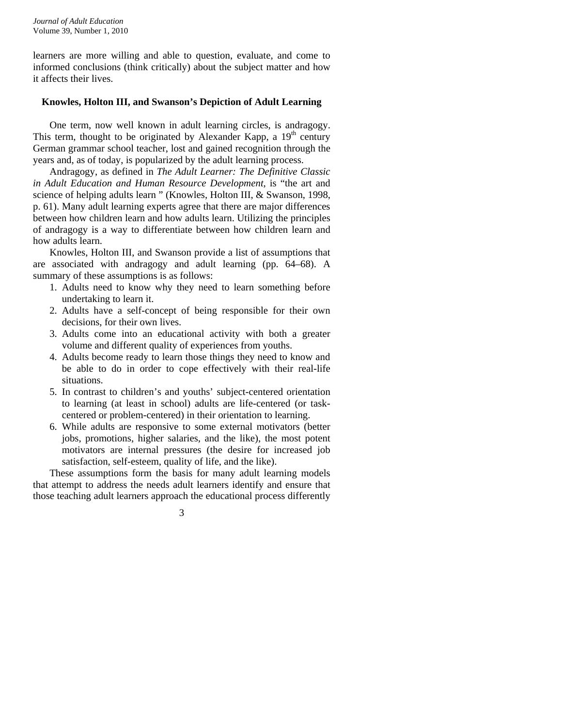learners are more willing and able to question, evaluate, and come to informed conclusions (think critically) about the subject matter and how it affects their lives.

### **Knowles, Holton III, and Swanson's Depiction of Adult Learning**

 One term, now well known in adult learning circles, is andragogy. This term, thought to be originated by Alexander Kapp, a  $19<sup>th</sup>$  century German grammar school teacher, lost and gained recognition through the years and, as of today, is popularized by the adult learning process.

 Andragogy, as defined in *The Adult Learner: The Definitive Classic in Adult Education and Human Resource Development*, is "the art and science of helping adults learn " (Knowles, Holton III, & Swanson, 1998, p. 61). Many adult learning experts agree that there are major differences between how children learn and how adults learn. Utilizing the principles of andragogy is a way to differentiate between how children learn and how adults learn.

 Knowles, Holton III, and Swanson provide a list of assumptions that are associated with andragogy and adult learning (pp. 64–68). A summary of these assumptions is as follows:

- 1. Adults need to know why they need to learn something before undertaking to learn it.
- 2. Adults have a self-concept of being responsible for their own decisions, for their own lives.
- 3. Adults come into an educational activity with both a greater volume and different quality of experiences from youths.
- 4. Adults become ready to learn those things they need to know and be able to do in order to cope effectively with their real-life situations.
- 5. In contrast to children's and youths' subject-centered orientation to learning (at least in school) adults are life-centered (or taskcentered or problem-centered) in their orientation to learning.
- 6. While adults are responsive to some external motivators (better jobs, promotions, higher salaries, and the like), the most potent motivators are internal pressures (the desire for increased job satisfaction, self-esteem, quality of life, and the like).

These assumptions form the basis for many adult learning models that attempt to address the needs adult learners identify and ensure that those teaching adult learners approach the educational process differently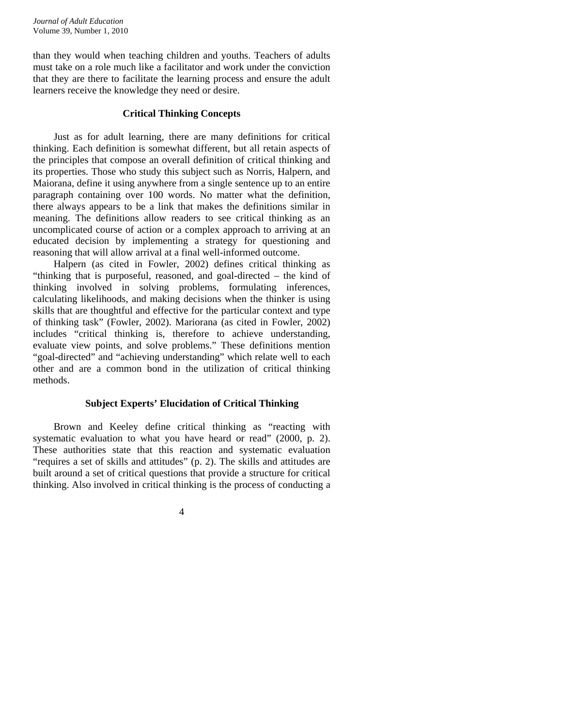than they would when teaching children and youths. Teachers of adults must take on a role much like a facilitator and work under the conviction that they are there to facilitate the learning process and ensure the adult learners receive the knowledge they need or desire.

### **Critical Thinking Concepts**

Just as for adult learning, there are many definitions for critical thinking. Each definition is somewhat different, but all retain aspects of the principles that compose an overall definition of critical thinking and its properties. Those who study this subject such as Norris, Halpern, and Maiorana, define it using anywhere from a single sentence up to an entire paragraph containing over 100 words. No matter what the definition, there always appears to be a link that makes the definitions similar in meaning. The definitions allow readers to see critical thinking as an uncomplicated course of action or a complex approach to arriving at an educated decision by implementing a strategy for questioning and reasoning that will allow arrival at a final well-informed outcome.

Halpern (as cited in Fowler, 2002) defines critical thinking as "thinking that is purposeful, reasoned, and goal-directed – the kind of thinking involved in solving problems, formulating inferences, calculating likelihoods, and making decisions when the thinker is using skills that are thoughtful and effective for the particular context and type of thinking task" (Fowler, 2002). Mariorana (as cited in Fowler, 2002) includes "critical thinking is, therefore to achieve understanding, evaluate view points, and solve problems." These definitions mention "goal-directed" and "achieving understanding" which relate well to each other and are a common bond in the utilization of critical thinking methods.

### **Subject Experts' Elucidation of Critical Thinking**

Brown and Keeley define critical thinking as "reacting with systematic evaluation to what you have heard or read" (2000, p. 2). These authorities state that this reaction and systematic evaluation "requires a set of skills and attitudes" (p. 2). The skills and attitudes are built around a set of critical questions that provide a structure for critical thinking. Also involved in critical thinking is the process of conducting a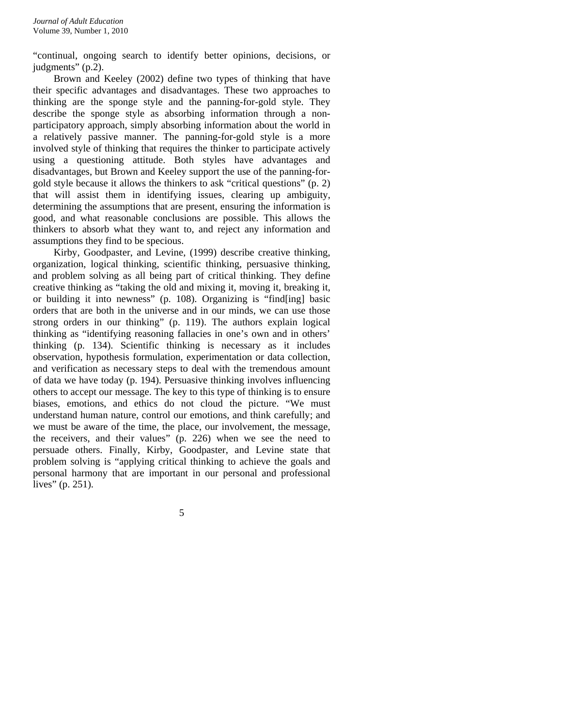"continual, ongoing search to identify better opinions, decisions, or judgments" (p.2).

Brown and Keeley (2002) define two types of thinking that have their specific advantages and disadvantages. These two approaches to thinking are the sponge style and the panning-for-gold style. They describe the sponge style as absorbing information through a nonparticipatory approach, simply absorbing information about the world in a relatively passive manner. The panning-for-gold style is a more involved style of thinking that requires the thinker to participate actively using a questioning attitude. Both styles have advantages and disadvantages, but Brown and Keeley support the use of the panning-forgold style because it allows the thinkers to ask "critical questions" (p. 2) that will assist them in identifying issues, clearing up ambiguity, determining the assumptions that are present, ensuring the information is good, and what reasonable conclusions are possible. This allows the thinkers to absorb what they want to, and reject any information and assumptions they find to be specious.

Kirby, Goodpaster, and Levine, (1999) describe creative thinking, organization, logical thinking, scientific thinking, persuasive thinking, and problem solving as all being part of critical thinking. They define creative thinking as "taking the old and mixing it, moving it, breaking it, or building it into newness" (p. 108). Organizing is "find[ing] basic orders that are both in the universe and in our minds, we can use those strong orders in our thinking" (p. 119). The authors explain logical thinking as "identifying reasoning fallacies in one's own and in others' thinking (p. 134). Scientific thinking is necessary as it includes observation, hypothesis formulation, experimentation or data collection, and verification as necessary steps to deal with the tremendous amount of data we have today (p. 194). Persuasive thinking involves influencing others to accept our message. The key to this type of thinking is to ensure biases, emotions, and ethics do not cloud the picture. "We must understand human nature, control our emotions, and think carefully; and we must be aware of the time, the place, our involvement, the message, the receivers, and their values" (p. 226) when we see the need to persuade others. Finally, Kirby, Goodpaster, and Levine state that problem solving is "applying critical thinking to achieve the goals and personal harmony that are important in our personal and professional lives" (p. 251).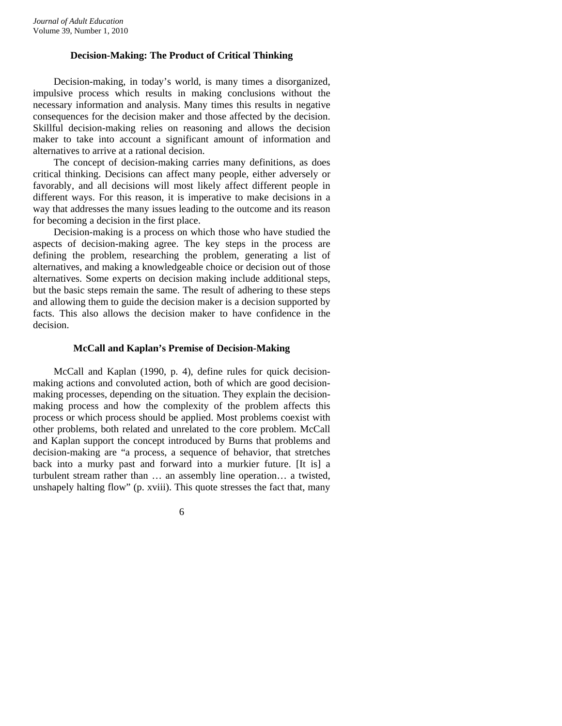### **Decision-Making: The Product of Critical Thinking**

Decision-making, in today's world, is many times a disorganized, impulsive process which results in making conclusions without the necessary information and analysis. Many times this results in negative consequences for the decision maker and those affected by the decision. Skillful decision-making relies on reasoning and allows the decision maker to take into account a significant amount of information and alternatives to arrive at a rational decision.

The concept of decision-making carries many definitions, as does critical thinking. Decisions can affect many people, either adversely or favorably, and all decisions will most likely affect different people in different ways. For this reason, it is imperative to make decisions in a way that addresses the many issues leading to the outcome and its reason for becoming a decision in the first place.

Decision-making is a process on which those who have studied the aspects of decision-making agree. The key steps in the process are defining the problem, researching the problem, generating a list of alternatives, and making a knowledgeable choice or decision out of those alternatives. Some experts on decision making include additional steps, but the basic steps remain the same. The result of adhering to these steps and allowing them to guide the decision maker is a decision supported by facts. This also allows the decision maker to have confidence in the decision.

### **McCall and Kaplan's Premise of Decision-Making**

McCall and Kaplan (1990, p. 4), define rules for quick decisionmaking actions and convoluted action, both of which are good decisionmaking processes, depending on the situation. They explain the decisionmaking process and how the complexity of the problem affects this process or which process should be applied. Most problems coexist with other problems, both related and unrelated to the core problem. McCall and Kaplan support the concept introduced by Burns that problems and decision-making are "a process, a sequence of behavior, that stretches back into a murky past and forward into a murkier future. [It is] a turbulent stream rather than … an assembly line operation… a twisted, unshapely halting flow" (p. xviii). This quote stresses the fact that, many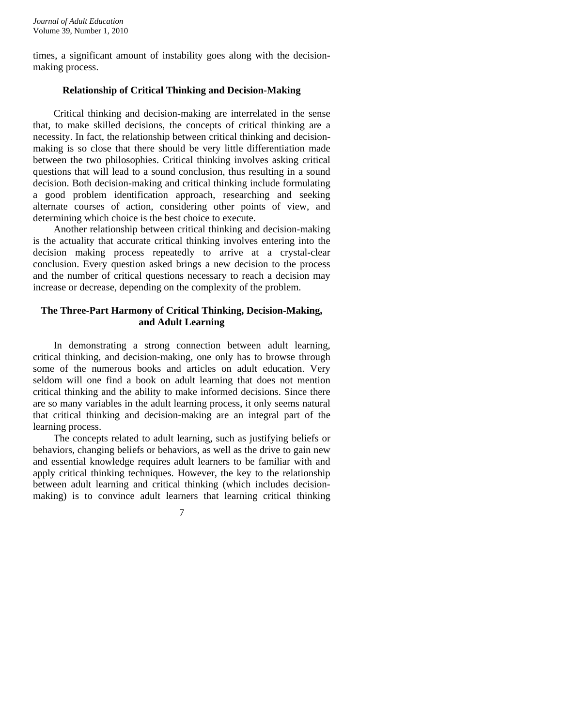times, a significant amount of instability goes along with the decisionmaking process.

## **Relationship of Critical Thinking and Decision-Making**

Critical thinking and decision-making are interrelated in the sense that, to make skilled decisions, the concepts of critical thinking are a necessity. In fact, the relationship between critical thinking and decisionmaking is so close that there should be very little differentiation made between the two philosophies. Critical thinking involves asking critical questions that will lead to a sound conclusion, thus resulting in a sound decision. Both decision-making and critical thinking include formulating a good problem identification approach, researching and seeking alternate courses of action, considering other points of view, and determining which choice is the best choice to execute.

Another relationship between critical thinking and decision-making is the actuality that accurate critical thinking involves entering into the decision making process repeatedly to arrive at a crystal-clear conclusion. Every question asked brings a new decision to the process and the number of critical questions necessary to reach a decision may increase or decrease, depending on the complexity of the problem.

## **The Three-Part Harmony of Critical Thinking, Decision-Making, and Adult Learning**

In demonstrating a strong connection between adult learning, critical thinking, and decision-making, one only has to browse through some of the numerous books and articles on adult education. Very seldom will one find a book on adult learning that does not mention critical thinking and the ability to make informed decisions. Since there are so many variables in the adult learning process, it only seems natural that critical thinking and decision-making are an integral part of the learning process.

The concepts related to adult learning, such as justifying beliefs or behaviors, changing beliefs or behaviors, as well as the drive to gain new and essential knowledge requires adult learners to be familiar with and apply critical thinking techniques. However, the key to the relationship between adult learning and critical thinking (which includes decisionmaking) is to convince adult learners that learning critical thinking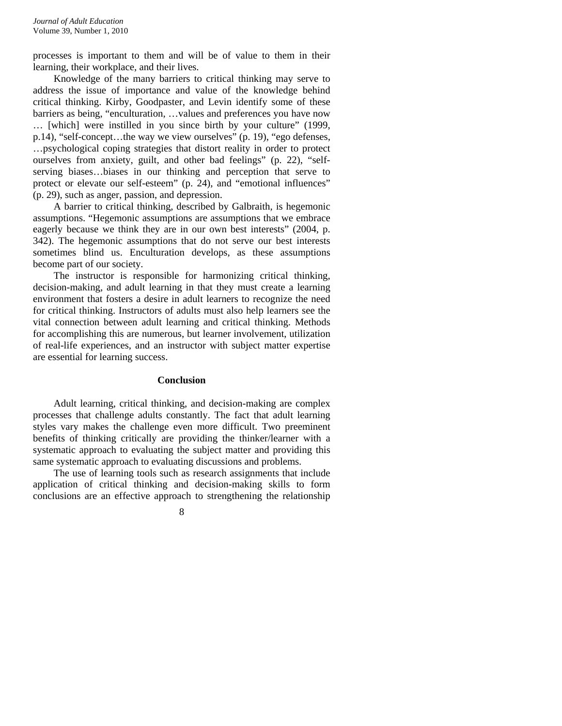processes is important to them and will be of value to them in their learning, their workplace, and their lives.

Knowledge of the many barriers to critical thinking may serve to address the issue of importance and value of the knowledge behind critical thinking. Kirby, Goodpaster, and Levin identify some of these barriers as being, "enculturation, …values and preferences you have now … [which] were instilled in you since birth by your culture" (1999, p.14), "self-concept…the way we view ourselves" (p. 19), "ego defenses, …psychological coping strategies that distort reality in order to protect ourselves from anxiety, guilt, and other bad feelings" (p. 22), "selfserving biases…biases in our thinking and perception that serve to protect or elevate our self-esteem" (p. 24), and "emotional influences" (p. 29), such as anger, passion, and depression.

A barrier to critical thinking, described by Galbraith, is hegemonic assumptions. "Hegemonic assumptions are assumptions that we embrace eagerly because we think they are in our own best interests" (2004, p. 342). The hegemonic assumptions that do not serve our best interests sometimes blind us. Enculturation develops, as these assumptions become part of our society.

The instructor is responsible for harmonizing critical thinking, decision-making, and adult learning in that they must create a learning environment that fosters a desire in adult learners to recognize the need for critical thinking. Instructors of adults must also help learners see the vital connection between adult learning and critical thinking. Methods for accomplishing this are numerous, but learner involvement, utilization of real-life experiences, and an instructor with subject matter expertise are essential for learning success.

#### **Conclusion**

Adult learning, critical thinking, and decision-making are complex processes that challenge adults constantly. The fact that adult learning styles vary makes the challenge even more difficult. Two preeminent benefits of thinking critically are providing the thinker/learner with a systematic approach to evaluating the subject matter and providing this same systematic approach to evaluating discussions and problems.

The use of learning tools such as research assignments that include application of critical thinking and decision-making skills to form conclusions are an effective approach to strengthening the relationship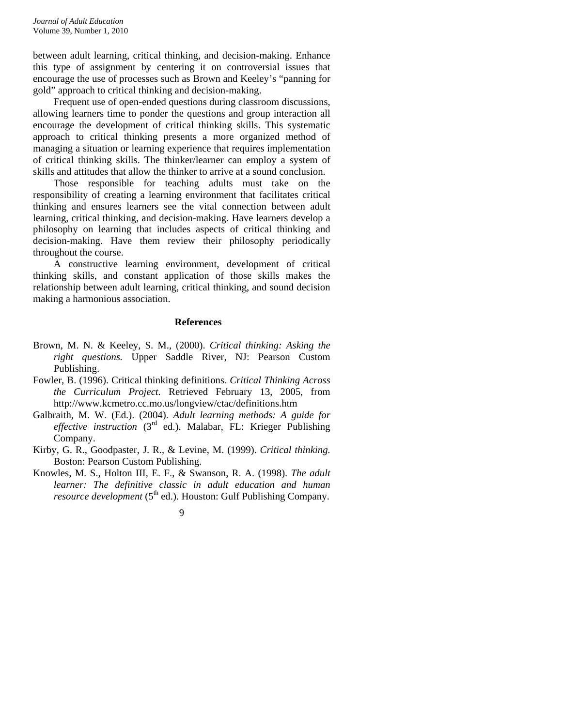between adult learning, critical thinking, and decision-making. Enhance this type of assignment by centering it on controversial issues that encourage the use of processes such as Brown and Keeley's "panning for gold" approach to critical thinking and decision-making.

Frequent use of open-ended questions during classroom discussions, allowing learners time to ponder the questions and group interaction all encourage the development of critical thinking skills. This systematic approach to critical thinking presents a more organized method of managing a situation or learning experience that requires implementation of critical thinking skills. The thinker/learner can employ a system of skills and attitudes that allow the thinker to arrive at a sound conclusion.

Those responsible for teaching adults must take on the responsibility of creating a learning environment that facilitates critical thinking and ensures learners see the vital connection between adult learning, critical thinking, and decision-making. Have learners develop a philosophy on learning that includes aspects of critical thinking and decision-making. Have them review their philosophy periodically throughout the course.

A constructive learning environment, development of critical thinking skills, and constant application of those skills makes the relationship between adult learning, critical thinking, and sound decision making a harmonious association.

### **References**

- Brown, M. N. & Keeley, S. M., (2000). *Critical thinking: Asking the right questions.* Upper Saddle River, NJ: Pearson Custom Publishing.
- Fowler, B. (1996). Critical thinking definitions. *Critical Thinking Across the Curriculum Project.* Retrieved February 13, 2005, from http://www.kcmetro.cc.mo.us/longview/ctac/definitions.htm
- Galbraith, M. W. (Ed.). (2004). *Adult learning methods: A guide for effective instruction* (3rd ed.). Malabar, FL: Krieger Publishing Company.
- Kirby, G. R., Goodpaster, J. R., & Levine, M. (1999). *Critical thinking.* Boston: Pearson Custom Publishing.
- Knowles, M. S., Holton III, E. F., & Swanson, R. A. (1998). *The adult learner: The definitive classic in adult education and human resource development* (5<sup>th</sup> ed.). Houston: Gulf Publishing Company.

<sup>9</sup>